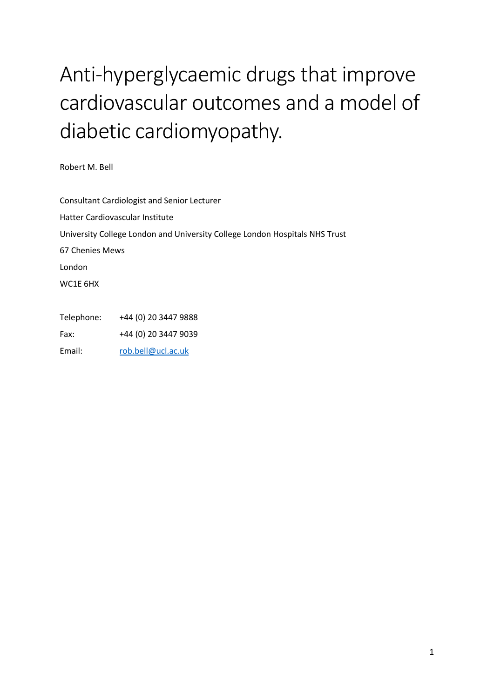# Anti-hyperglycaemic drugs that improve cardiovascular outcomes and a model of diabetic cardiomyopathy.

Robert M. Bell

Consultant Cardiologist and Senior Lecturer Hatter Cardiovascular Institute University College London and University College London Hospitals NHS Trust 67 Chenies Mews London WC1E 6HX

Telephone: +44 (0) 20 3447 9888 Fax: +44 (0) 20 3447 9039 Email: rob.bell@ucl.ac.uk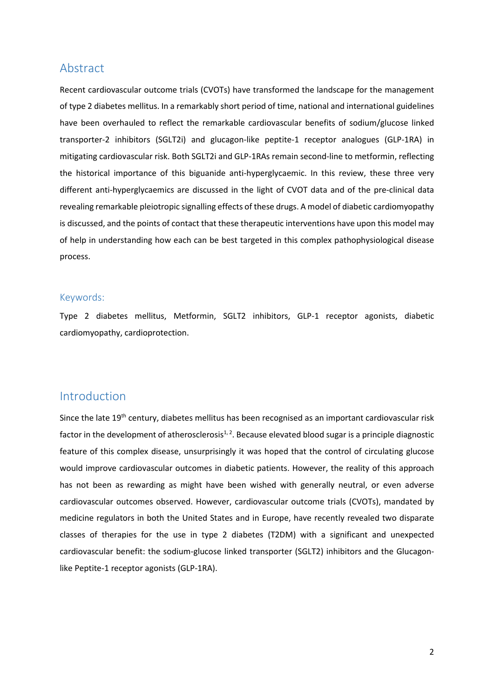### Abstract

Recent cardiovascular outcome trials (CVOTs) have transformed the landscape for the management of type 2 diabetes mellitus. In a remarkably short period of time, national and international guidelines have been overhauled to reflect the remarkable cardiovascular benefits of sodium/glucose linked transporter-2 inhibitors (SGLT2i) and glucagon-like peptite-1 receptor analogues (GLP-1RA) in mitigating cardiovascular risk. Both SGLT2i and GLP-1RAs remain second-line to metformin, reflecting the historical importance of this biguanide anti-hyperglycaemic. In this review, these three very different anti-hyperglycaemics are discussed in the light of CVOT data and of the pre-clinical data revealing remarkable pleiotropic signalling effects of these drugs. A model of diabetic cardiomyopathy is discussed, and the points of contact that these therapeutic interventions have upon this model may of help in understanding how each can be best targeted in this complex pathophysiological disease process.

#### Keywords:

Type 2 diabetes mellitus, Metformin, SGLT2 inhibitors, GLP-1 receptor agonists, diabetic cardiomyopathy, cardioprotection.

## Introduction

Since the late 19<sup>th</sup> century, diabetes mellitus has been recognised as an important cardiovascular risk factor in the development of atherosclerosis<sup>1, 2</sup>. Because elevated blood sugar is a principle diagnostic feature of this complex disease, unsurprisingly it was hoped that the control of circulating glucose would improve cardiovascular outcomes in diabetic patients. However, the reality of this approach has not been as rewarding as might have been wished with generally neutral, or even adverse cardiovascular outcomes observed. However, cardiovascular outcome trials (CVOTs), mandated by medicine regulators in both the United States and in Europe, have recently revealed two disparate classes of therapies for the use in type 2 diabetes (T2DM) with a significant and unexpected cardiovascular benefit: the sodium-glucose linked transporter (SGLT2) inhibitors and the Glucagonlike Peptite-1 receptor agonists (GLP-1RA).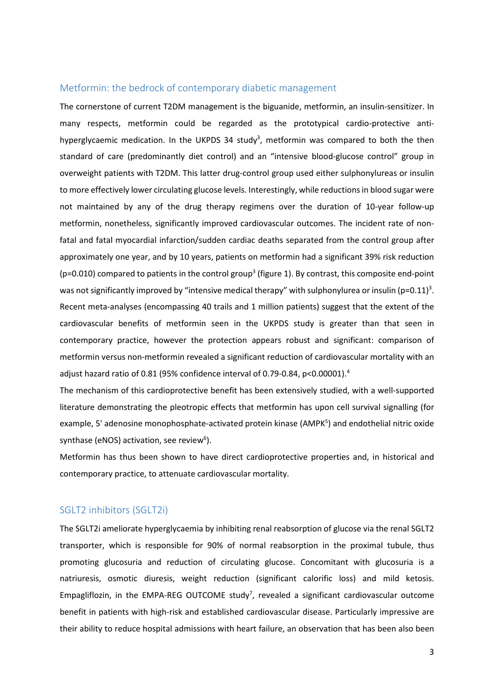#### Metformin: the bedrock of contemporary diabetic management

The cornerstone of current T2DM management is the biguanide, metformin, an insulin-sensitizer. In many respects, metformin could be regarded as the prototypical cardio-protective antihyperglycaemic medication. In the UKPDS 34 study<sup>3</sup>, metformin was compared to both the then standard of care (predominantly diet control) and an "intensive blood-glucose control" group in overweight patients with T2DM. This latter drug-control group used either sulphonylureas or insulin to more effectively lower circulating glucose levels. Interestingly, while reductions in blood sugar were not maintained by any of the drug therapy regimens over the duration of 10-year follow-up metformin, nonetheless, significantly improved cardiovascular outcomes. The incident rate of nonfatal and fatal myocardial infarction/sudden cardiac deaths separated from the control group after approximately one year, and by 10 years, patients on metformin had a significant 39% risk reduction ( $p=0.010$ ) compared to patients in the control group<sup>3</sup> (figure 1). By contrast, this composite end-point was not significantly improved by "intensive medical therapy" with sulphonylurea or insulin (p=0.11)<sup>3</sup>. Recent meta-analyses (encompassing 40 trails and 1 million patients) suggest that the extent of the cardiovascular benefits of metformin seen in the UKPDS study is greater than that seen in contemporary practice, however the protection appears robust and significant: comparison of metformin versus non-metformin revealed a significant reduction of cardiovascular mortality with an adjust hazard ratio of 0.81 (95% confidence interval of 0.79-0.84, p<0.00001).<sup>4</sup>

The mechanism of this cardioprotective benefit has been extensively studied, with a well-supported literature demonstrating the pleotropic effects that metformin has upon cell survival signalling (for example, 5' adenosine monophosphate-activated protein kinase (AMPK<sup>5</sup>) and endothelial nitric oxide synthase (eNOS) activation, see review<sup>6</sup>).

Metformin has thus been shown to have direct cardioprotective properties and, in historical and contemporary practice, to attenuate cardiovascular mortality.

#### SGLT2 inhibitors (SGLT2i)

The SGLT2i ameliorate hyperglycaemia by inhibiting renal reabsorption of glucose via the renal SGLT2 transporter, which is responsible for 90% of normal reabsorption in the proximal tubule, thus promoting glucosuria and reduction of circulating glucose. Concomitant with glucosuria is a natriuresis, osmotic diuresis, weight reduction (significant calorific loss) and mild ketosis. Empagliflozin, in the EMPA-REG OUTCOME study<sup>7</sup>, revealed a significant cardiovascular outcome benefit in patients with high-risk and established cardiovascular disease. Particularly impressive are their ability to reduce hospital admissions with heart failure, an observation that has been also been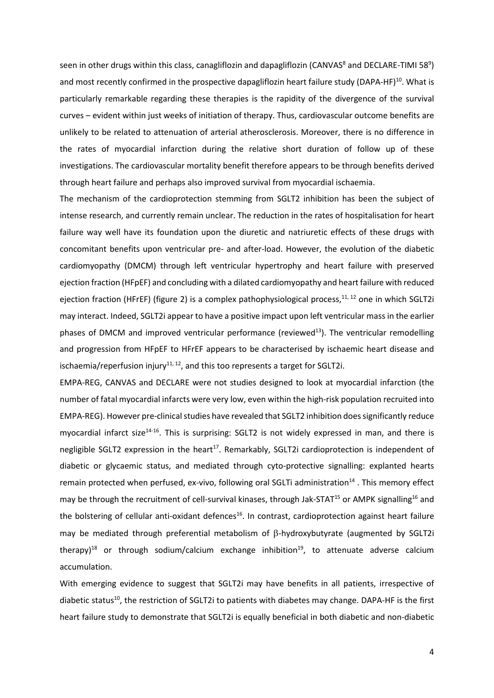seen in other drugs within this class, canagliflozin and dapagliflozin (CANVAS<sup>8</sup> and DECLARE-TIMI 58<sup>9</sup>) and most recently confirmed in the prospective dapagliflozin heart failure study (DAPA-HF)<sup>10</sup>. What is particularly remarkable regarding these therapies is the rapidity of the divergence of the survival curves – evident within just weeks of initiation of therapy. Thus, cardiovascular outcome benefits are unlikely to be related to attenuation of arterial atherosclerosis. Moreover, there is no difference in the rates of myocardial infarction during the relative short duration of follow up of these investigations. The cardiovascular mortality benefit therefore appears to be through benefits derived through heart failure and perhaps also improved survival from myocardial ischaemia.

The mechanism of the cardioprotection stemming from SGLT2 inhibition has been the subject of intense research, and currently remain unclear. The reduction in the rates of hospitalisation for heart failure way well have its foundation upon the diuretic and natriuretic effects of these drugs with concomitant benefits upon ventricular pre- and after-load. However, the evolution of the diabetic cardiomyopathy (DMCM) through left ventricular hypertrophy and heart failure with preserved ejection fraction (HFpEF) and concluding with a dilated cardiomyopathy and heart failure with reduced ejection fraction (HFrEF) (figure 2) is a complex pathophysiological process,<sup>11, 12</sup> one in which SGLT2i may interact. Indeed, SGLT2i appear to have a positive impact upon left ventricular mass in the earlier phases of DMCM and improved ventricular performance (reviewed<sup>13</sup>). The ventricular remodelling and progression from HFpEF to HFrEF appears to be characterised by ischaemic heart disease and ischaemia/reperfusion injury<sup>11, 12</sup>, and this too represents a target for SGLT2i.

EMPA-REG, CANVAS and DECLARE were not studies designed to look at myocardial infarction (the number of fatal myocardial infarcts were very low, even within the high-risk population recruited into EMPA-REG). However pre-clinical studies have revealed that SGLT2 inhibition does significantly reduce myocardial infarct size<sup>14-16</sup>. This is surprising: SGLT2 is not widely expressed in man, and there is negligible SGLT2 expression in the heart<sup>17</sup>. Remarkably, SGLT2i cardioprotection is independent of diabetic or glycaemic status, and mediated through cyto-protective signalling: explanted hearts remain protected when perfused, ex-vivo, following oral SGLTi administration<sup>14</sup>. This memorv effect may be through the recruitment of cell-survival kinases, through Jak-STAT<sup>15</sup> or AMPK signalling<sup>16</sup> and the bolstering of cellular anti-oxidant defences<sup>16</sup>. In contrast, cardioprotection against heart failure may be mediated through preferential metabolism of  $\beta$ -hydroxybutyrate (augmented by SGLT2i therapy)<sup>18</sup> or through sodium/calcium exchange inhibition<sup>19</sup>, to attenuate adverse calcium accumulation.

With emerging evidence to suggest that SGLT2i may have benefits in all patients, irrespective of diabetic status<sup>10</sup>, the restriction of SGLT2i to patients with diabetes may change. DAPA-HF is the first heart failure study to demonstrate that SGLT2i is equally beneficial in both diabetic and non-diabetic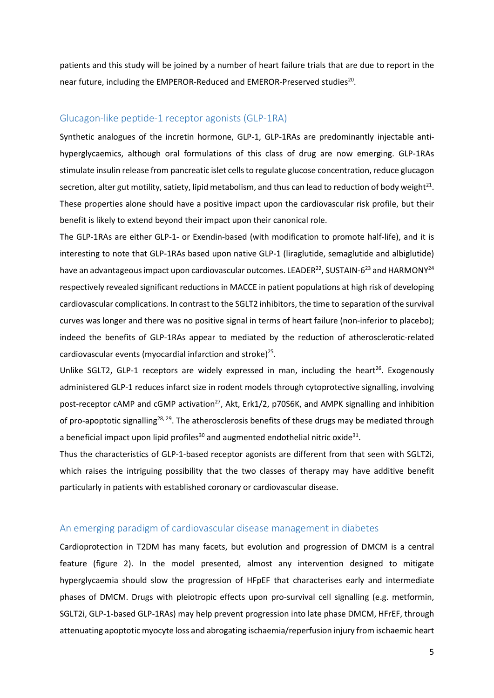patients and this study will be joined by a number of heart failure trials that are due to report in the near future, including the EMPEROR-Reduced and EMEROR-Preserved studies<sup>20</sup>.

#### Glucagon-like peptide-1 receptor agonists (GLP-1RA)

Synthetic analogues of the incretin hormone, GLP-1, GLP-1RAs are predominantly injectable antihyperglycaemics, although oral formulations of this class of drug are now emerging. GLP-1RAs stimulate insulin release from pancreatic islet cells to regulate glucose concentration, reduce glucagon secretion, alter gut motility, satiety, lipid metabolism, and thus can lead to reduction of body weight $^{21}$ . These properties alone should have a positive impact upon the cardiovascular risk profile, but their benefit is likely to extend beyond their impact upon their canonical role.

The GLP-1RAs are either GLP-1- or Exendin-based (with modification to promote half-life), and it is interesting to note that GLP-1RAs based upon native GLP-1 (liraglutide, semaglutide and albiglutide) have an advantageous impact upon cardiovascular outcomes. LEADER<sup>22</sup>, SUSTAIN-6<sup>23</sup> and HARMONY<sup>24</sup> respectively revealed significant reductions in MACCE in patient populations at high risk of developing cardiovascular complications. In contrast to the SGLT2 inhibitors, the time to separation of the survival curves was longer and there was no positive signal in terms of heart failure (non-inferior to placebo); indeed the benefits of GLP-1RAs appear to mediated by the reduction of atherosclerotic-related cardiovascular events (myocardial infarction and stroke) $^{25}$ .

Unlike SGLT2, GLP-1 receptors are widely expressed in man, including the heart<sup>26</sup>. Exogenously administered GLP-1 reduces infarct size in rodent models through cytoprotective signalling, involving post-receptor cAMP and cGMP activation<sup>27</sup>, Akt, Erk1/2, p70S6K, and AMPK signalling and inhibition of pro-apoptotic signalling<sup>28, 29</sup>. The atherosclerosis benefits of these drugs may be mediated through a beneficial impact upon lipid profiles<sup>30</sup> and augmented endothelial nitric oxide<sup>31</sup>.

Thus the characteristics of GLP-1-based receptor agonists are different from that seen with SGLT2i, which raises the intriguing possibility that the two classes of therapy may have additive benefit particularly in patients with established coronary or cardiovascular disease.

#### An emerging paradigm of cardiovascular disease management in diabetes

Cardioprotection in T2DM has many facets, but evolution and progression of DMCM is a central feature (figure 2). In the model presented, almost any intervention designed to mitigate hyperglycaemia should slow the progression of HFpEF that characterises early and intermediate phases of DMCM. Drugs with pleiotropic effects upon pro-survival cell signalling (e.g. metformin, SGLT2i, GLP-1-based GLP-1RAs) may help prevent progression into late phase DMCM, HFrEF, through attenuating apoptotic myocyte loss and abrogating ischaemia/reperfusion injury from ischaemic heart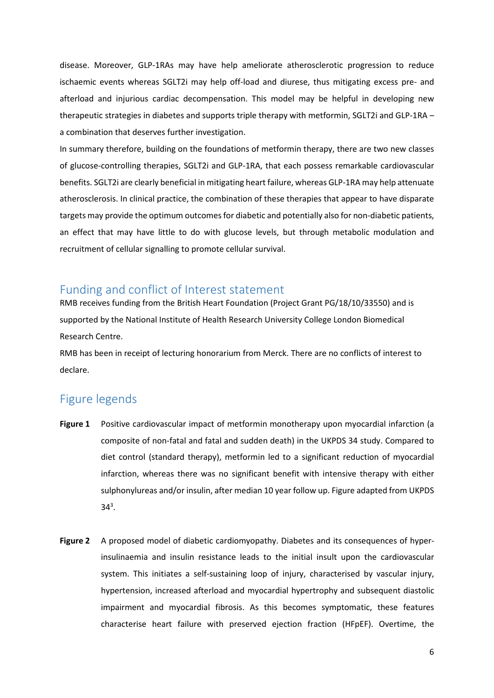disease. Moreover, GLP-1RAs may have help ameliorate atherosclerotic progression to reduce ischaemic events whereas SGLT2i may help off-load and diurese, thus mitigating excess pre- and afterload and injurious cardiac decompensation. This model may be helpful in developing new therapeutic strategies in diabetes and supports triple therapy with metformin, SGLT2i and GLP-1RA – a combination that deserves further investigation.

In summary therefore, building on the foundations of metformin therapy, there are two new classes of glucose-controlling therapies, SGLT2i and GLP-1RA, that each possess remarkable cardiovascular benefits. SGLT2i are clearly beneficial in mitigating heart failure, whereas GLP-1RA may help attenuate atherosclerosis. In clinical practice, the combination of these therapies that appear to have disparate targets may provide the optimum outcomes for diabetic and potentially also for non-diabetic patients, an effect that may have little to do with glucose levels, but through metabolic modulation and recruitment of cellular signalling to promote cellular survival.

## Funding and conflict of Interest statement

RMB receives funding from the British Heart Foundation (Project Grant PG/18/10/33550) and is supported by the National Institute of Health Research University College London Biomedical Research Centre.

RMB has been in receipt of lecturing honorarium from Merck. There are no conflicts of interest to declare.

## Figure legends

- **Figure 1** Positive cardiovascular impact of metformin monotherapy upon myocardial infarction (a composite of non-fatal and fatal and sudden death) in the UKPDS 34 study. Compared to diet control (standard therapy), metformin led to a significant reduction of myocardial infarction, whereas there was no significant benefit with intensive therapy with either sulphonylureas and/or insulin, after median 10 year follow up. Figure adapted from UKPDS  $34^{3}$ .
- **Figure 2** A proposed model of diabetic cardiomyopathy. Diabetes and its consequences of hyperinsulinaemia and insulin resistance leads to the initial insult upon the cardiovascular system. This initiates a self-sustaining loop of injury, characterised by vascular injury, hypertension, increased afterload and myocardial hypertrophy and subsequent diastolic impairment and myocardial fibrosis. As this becomes symptomatic, these features characterise heart failure with preserved ejection fraction (HFpEF). Overtime, the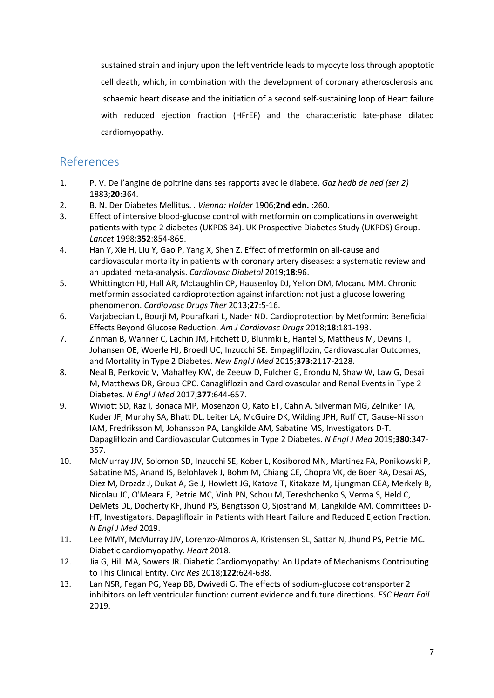sustained strain and injury upon the left ventricle leads to myocyte loss through apoptotic cell death, which, in combination with the development of coronary atherosclerosis and ischaemic heart disease and the initiation of a second self-sustaining loop of Heart failure with reduced ejection fraction (HFrEF) and the characteristic late-phase dilated cardiomyopathy.

# References

- 1. P. V. De l'angine de poitrine dans ses rapports avec le diabete. *Gaz hedb de ned (ser 2)*  1883;**20**:364.
- 2. B. N. Der Diabetes Mellitus. . *Vienna: Holder* 1906;**2nd edn.** :260.
- 3. Effect of intensive blood-glucose control with metformin on complications in overweight patients with type 2 diabetes (UKPDS 34). UK Prospective Diabetes Study (UKPDS) Group. *Lancet* 1998;**352**:854-865.
- 4. Han Y, Xie H, Liu Y, Gao P, Yang X, Shen Z. Effect of metformin on all-cause and cardiovascular mortality in patients with coronary artery diseases: a systematic review and an updated meta-analysis. *Cardiovasc Diabetol* 2019;**18**:96.
- 5. Whittington HJ, Hall AR, McLaughlin CP, Hausenloy DJ, Yellon DM, Mocanu MM. Chronic metformin associated cardioprotection against infarction: not just a glucose lowering phenomenon. *Cardiovasc Drugs Ther* 2013;**27**:5-16.
- 6. Varjabedian L, Bourji M, Pourafkari L, Nader ND. Cardioprotection by Metformin: Beneficial Effects Beyond Glucose Reduction. *Am J Cardiovasc Drugs* 2018;**18**:181-193.
- 7. Zinman B, Wanner C, Lachin JM, Fitchett D, Bluhmki E, Hantel S, Mattheus M, Devins T, Johansen OE, Woerle HJ, Broedl UC, Inzucchi SE. Empagliflozin, Cardiovascular Outcomes, and Mortality in Type 2 Diabetes. *New Engl J Med* 2015;**373**:2117-2128.
- 8. Neal B, Perkovic V, Mahaffey KW, de Zeeuw D, Fulcher G, Erondu N, Shaw W, Law G, Desai M, Matthews DR, Group CPC. Canagliflozin and Cardiovascular and Renal Events in Type 2 Diabetes. *N Engl J Med* 2017;**377**:644-657.
- 9. Wiviott SD, Raz I, Bonaca MP, Mosenzon O, Kato ET, Cahn A, Silverman MG, Zelniker TA, Kuder JF, Murphy SA, Bhatt DL, Leiter LA, McGuire DK, Wilding JPH, Ruff CT, Gause-Nilsson IAM, Fredriksson M, Johansson PA, Langkilde AM, Sabatine MS, Investigators D-T. Dapagliflozin and Cardiovascular Outcomes in Type 2 Diabetes. *N Engl J Med* 2019;**380**:347- 357.
- 10. McMurray JJV, Solomon SD, Inzucchi SE, Kober L, Kosiborod MN, Martinez FA, Ponikowski P, Sabatine MS, Anand IS, Belohlavek J, Bohm M, Chiang CE, Chopra VK, de Boer RA, Desai AS, Diez M, Drozdz J, Dukat A, Ge J, Howlett JG, Katova T, Kitakaze M, Ljungman CEA, Merkely B, Nicolau JC, O'Meara E, Petrie MC, Vinh PN, Schou M, Tereshchenko S, Verma S, Held C, DeMets DL, Docherty KF, Jhund PS, Bengtsson O, Sjostrand M, Langkilde AM, Committees D-HT, Investigators. Dapagliflozin in Patients with Heart Failure and Reduced Ejection Fraction. *N Engl J Med* 2019.
- 11. Lee MMY, McMurray JJV, Lorenzo-Almoros A, Kristensen SL, Sattar N, Jhund PS, Petrie MC. Diabetic cardiomyopathy. *Heart* 2018.
- 12. Jia G, Hill MA, Sowers JR. Diabetic Cardiomyopathy: An Update of Mechanisms Contributing to This Clinical Entity. *Circ Res* 2018;**122**:624-638.
- 13. Lan NSR, Fegan PG, Yeap BB, Dwivedi G. The effects of sodium-glucose cotransporter 2 inhibitors on left ventricular function: current evidence and future directions. *ESC Heart Fail*  2019.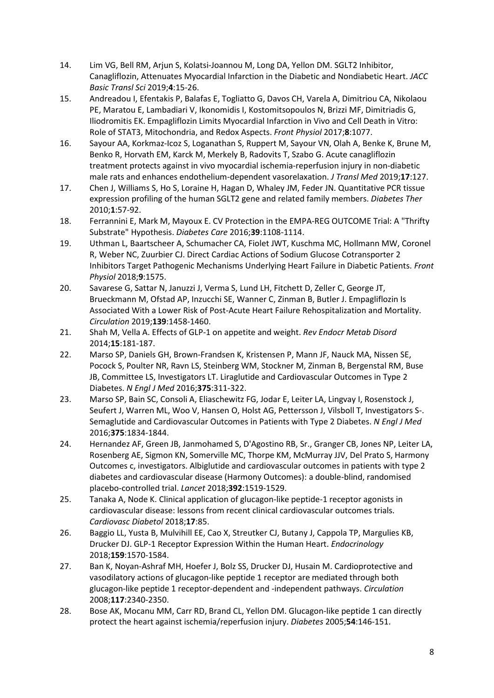- 14. Lim VG, Bell RM, Arjun S, Kolatsi-Joannou M, Long DA, Yellon DM. SGLT2 Inhibitor, Canagliflozin, Attenuates Myocardial Infarction in the Diabetic and Nondiabetic Heart. *JACC Basic Transl Sci* 2019;**4**:15-26.
- 15. Andreadou I, Efentakis P, Balafas E, Togliatto G, Davos CH, Varela A, Dimitriou CA, Nikolaou PE, Maratou E, Lambadiari V, Ikonomidis I, Kostomitsopoulos N, Brizzi MF, Dimitriadis G, Iliodromitis EK. Empagliflozin Limits Myocardial Infarction in Vivo and Cell Death in Vitro: Role of STAT3, Mitochondria, and Redox Aspects. *Front Physiol* 2017;**8**:1077.
- 16. Sayour AA, Korkmaz-Icoz S, Loganathan S, Ruppert M, Sayour VN, Olah A, Benke K, Brune M, Benko R, Horvath EM, Karck M, Merkely B, Radovits T, Szabo G. Acute canagliflozin treatment protects against in vivo myocardial ischemia-reperfusion injury in non-diabetic male rats and enhances endothelium-dependent vasorelaxation. *J Transl Med* 2019;**17**:127.
- 17. Chen J, Williams S, Ho S, Loraine H, Hagan D, Whaley JM, Feder JN. Quantitative PCR tissue expression profiling of the human SGLT2 gene and related family members. *Diabetes Ther*  2010;**1**:57-92.
- 18. Ferrannini E, Mark M, Mayoux E. CV Protection in the EMPA-REG OUTCOME Trial: A "Thrifty Substrate" Hypothesis. *Diabetes Care* 2016;**39**:1108-1114.
- 19. Uthman L, Baartscheer A, Schumacher CA, Fiolet JWT, Kuschma MC, Hollmann MW, Coronel R, Weber NC, Zuurbier CJ. Direct Cardiac Actions of Sodium Glucose Cotransporter 2 Inhibitors Target Pathogenic Mechanisms Underlying Heart Failure in Diabetic Patients. *Front Physiol* 2018;**9**:1575.
- 20. Savarese G, Sattar N, Januzzi J, Verma S, Lund LH, Fitchett D, Zeller C, George JT, Brueckmann M, Ofstad AP, Inzucchi SE, Wanner C, Zinman B, Butler J. Empagliflozin Is Associated With a Lower Risk of Post-Acute Heart Failure Rehospitalization and Mortality. *Circulation* 2019;**139**:1458-1460.
- 21. Shah M, Vella A. Effects of GLP-1 on appetite and weight. *Rev Endocr Metab Disord*  2014;**15**:181-187.
- 22. Marso SP, Daniels GH, Brown-Frandsen K, Kristensen P, Mann JF, Nauck MA, Nissen SE, Pocock S, Poulter NR, Ravn LS, Steinberg WM, Stockner M, Zinman B, Bergenstal RM, Buse JB, Committee LS, Investigators LT. Liraglutide and Cardiovascular Outcomes in Type 2 Diabetes. *N Engl J Med* 2016;**375**:311-322.
- 23. Marso SP, Bain SC, Consoli A, Eliaschewitz FG, Jodar E, Leiter LA, Lingvay I, Rosenstock J, Seufert J, Warren ML, Woo V, Hansen O, Holst AG, Pettersson J, Vilsboll T, Investigators S-. Semaglutide and Cardiovascular Outcomes in Patients with Type 2 Diabetes. *N Engl J Med*  2016;**375**:1834-1844.
- 24. Hernandez AF, Green JB, Janmohamed S, D'Agostino RB, Sr., Granger CB, Jones NP, Leiter LA, Rosenberg AE, Sigmon KN, Somerville MC, Thorpe KM, McMurray JJV, Del Prato S, Harmony Outcomes c, investigators. Albiglutide and cardiovascular outcomes in patients with type 2 diabetes and cardiovascular disease (Harmony Outcomes): a double-blind, randomised placebo-controlled trial. *Lancet* 2018;**392**:1519-1529.
- 25. Tanaka A, Node K. Clinical application of glucagon-like peptide-1 receptor agonists in cardiovascular disease: lessons from recent clinical cardiovascular outcomes trials. *Cardiovasc Diabetol* 2018;**17**:85.
- 26. Baggio LL, Yusta B, Mulvihill EE, Cao X, Streutker CJ, Butany J, Cappola TP, Margulies KB, Drucker DJ. GLP-1 Receptor Expression Within the Human Heart. *Endocrinology*  2018;**159**:1570-1584.
- 27. Ban K, Noyan-Ashraf MH, Hoefer J, Bolz SS, Drucker DJ, Husain M. Cardioprotective and vasodilatory actions of glucagon-like peptide 1 receptor are mediated through both glucagon-like peptide 1 receptor-dependent and -independent pathways. *Circulation*  2008;**117**:2340-2350.
- 28. Bose AK, Mocanu MM, Carr RD, Brand CL, Yellon DM. Glucagon-like peptide 1 can directly protect the heart against ischemia/reperfusion injury. *Diabetes* 2005;**54**:146-151.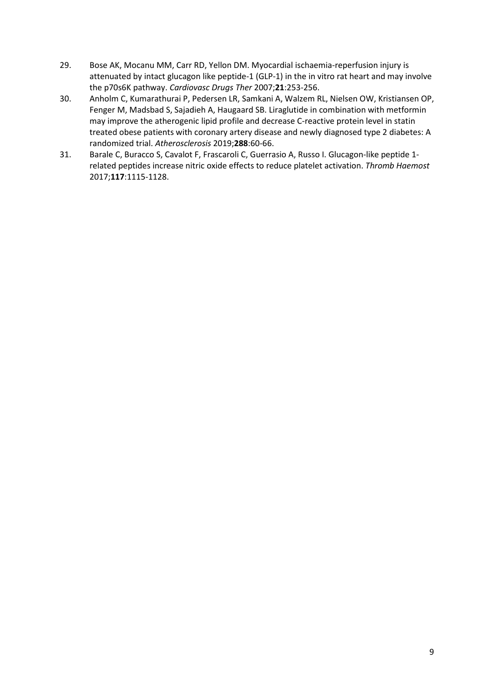- 29. Bose AK, Mocanu MM, Carr RD, Yellon DM. Myocardial ischaemia-reperfusion injury is attenuated by intact glucagon like peptide-1 (GLP-1) in the in vitro rat heart and may involve the p70s6K pathway. *Cardiovasc Drugs Ther* 2007;**21**:253-256.
- 30. Anholm C, Kumarathurai P, Pedersen LR, Samkani A, Walzem RL, Nielsen OW, Kristiansen OP, Fenger M, Madsbad S, Sajadieh A, Haugaard SB. Liraglutide in combination with metformin may improve the atherogenic lipid profile and decrease C-reactive protein level in statin treated obese patients with coronary artery disease and newly diagnosed type 2 diabetes: A randomized trial. *Atherosclerosis* 2019;**288**:60-66.
- 31. Barale C, Buracco S, Cavalot F, Frascaroli C, Guerrasio A, Russo I. Glucagon-like peptide 1 related peptides increase nitric oxide effects to reduce platelet activation. *Thromb Haemost*  2017;**117**:1115-1128.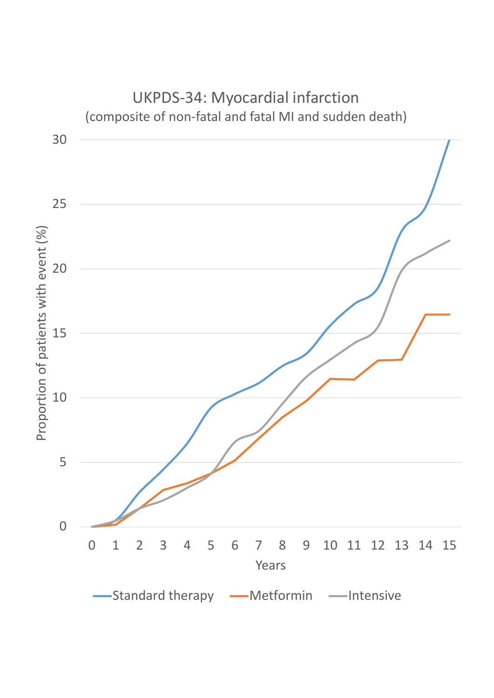